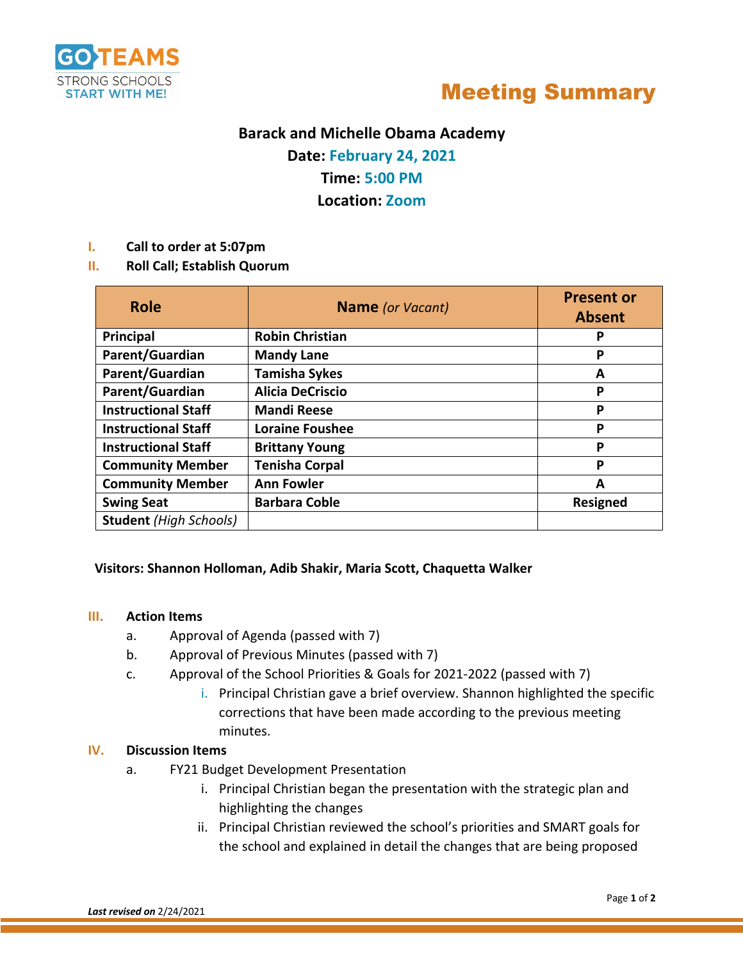



# **Barack and Michelle Obama Academy**

**Date: February 24, 2021**

# **Time: 5:00 PM**

**Location: Zoom**

#### **I. Call to order at 5:07pm**

**II. Roll Call; Establish Quorum** 

| <b>Role</b>                   | <b>Name</b> (or Vacant) | <b>Present or</b><br><b>Absent</b> |
|-------------------------------|-------------------------|------------------------------------|
| Principal                     | <b>Robin Christian</b>  | P                                  |
| Parent/Guardian               | <b>Mandy Lane</b>       | Р                                  |
| Parent/Guardian               | <b>Tamisha Sykes</b>    | А                                  |
| Parent/Guardian               | <b>Alicia DeCriscio</b> | P                                  |
| <b>Instructional Staff</b>    | <b>Mandi Reese</b>      | P                                  |
| <b>Instructional Staff</b>    | <b>Loraine Foushee</b>  | P                                  |
| <b>Instructional Staff</b>    | <b>Brittany Young</b>   | Р                                  |
| <b>Community Member</b>       | <b>Tenisha Corpal</b>   | P                                  |
| <b>Community Member</b>       | <b>Ann Fowler</b>       | A                                  |
| <b>Swing Seat</b>             | <b>Barbara Coble</b>    | <b>Resigned</b>                    |
| <b>Student</b> (High Schools) |                         |                                    |

### **Visitors: Shannon Holloman, Adib Shakir, Maria Scott, Chaquetta Walker**

#### **III. Action Items**

- a. Approval of Agenda (passed with 7)
- b. Approval of Previous Minutes (passed with 7)
- c. Approval of the School Priorities & Goals for 2021-2022 (passed with 7)
	- i. Principal Christian gave a brief overview. Shannon highlighted the specific corrections that have been made according to the previous meeting minutes.

#### **IV. Discussion Items**

- a. FY21 Budget Development Presentation
	- i. Principal Christian began the presentation with the strategic plan and highlighting the changes
	- ii. Principal Christian reviewed the school's priorities and SMART goals for the school and explained in detail the changes that are being proposed